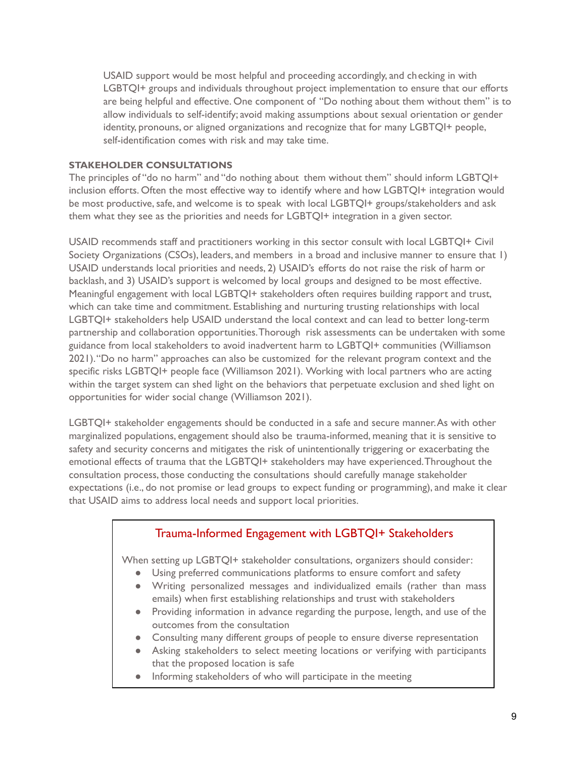USAID support would be most helpful and proceeding accordingly, and checking in with LGBTQI+ groups and individuals throughout project implementation to ensure that our efforts are being helpful and effective. One component of "Do nothing about them without them" is to allow individuals to self-identify; avoid making assumptions about sexual orientation or gender identity, pronouns, or aligned organizations and recognize that for many LGBTQI+ people, self-identification comes with risk and may take time.

#### **STAKEHOLDER CONSULTATIONS**

 The principles of "do no harm" and "do nothing about them without them" should inform LGBTQI+ inclusion efforts. Often the most effective way to identify where and how LGBTQI+ integration would be most productive, safe, and welcome is to speak with local LGBTQI+ groups/stakeholders and ask them what they see as the priorities and needs for LGBTQI+ integration in a given sector.

 USAID recommends staff and practitioners working in this sector consult with local LGBTQI+ Civil Society Organizations (CSOs), leaders, and members in a broad and inclusive manner to ensure that 1) USAID understands local priorities and needs, 2) USAID's efforts do not raise the risk of harm or backlash, and 3) USAID's support is welcomed by local groups and designed to be most effective. Meaningful engagement with local LGBTQI+ stakeholders often requires building rapport and trust, which can take time and commitment. Establishing and nurturing trusting relationships with local LGBTQI+ stakeholders help USAID understand the local context and can lead to better long-term partnership and collaboration opportunities.Thorough risk assessments can be undertaken with some guidance from local stakeholders to avoid inadvertent harm to LGBTQI+ communities (Williamson 2021)."Do no harm" approaches can also be customized for the relevant program context and the specific risks LGBTQI+ people face (Williamson 2021). Working with local partners who are acting within the target system can shed light on the behaviors that perpetuate exclusion and shed light on opportunities for wider social change (Williamson 2021).

 LGBTQI+ stakeholder engagements should be conducted in a safe and secure [manner.As](https://manner.As) with other marginalized populations, engagement should also be trauma-informed, meaning that it is sensitive to safety and security concerns and mitigates the risk of unintentionally triggering or exacerbating the emotional effects of trauma that the LGBTQI+ stakeholders may have experienced.Throughout the consultation process, those conducting the consultations should carefully manage stakeholder expectations (i.e., do not promise or lead groups to expect funding or programming), and make it clear that USAID aims to address local needs and support local priorities.

# Trauma-Informed Engagement with LGBTQI+ Stakeholders

When setting up LGBTQI+ stakeholder consultations, organizers should consider:

- Using preferred communications platforms to ensure comfort and safety
- emails) when first establishing relationships and trust with stakeholders ● Writing personalized messages and individualized emails (rather than mass
- outcomes from the consultation ● Providing information in advance regarding the purpose, length, and use of the
- Consulting many different groups of people to ensure diverse representation
- that the proposed location is safe ● Asking stakeholders to select meeting locations or verifying with participants
- Informing stakeholders of who will participate in the meeting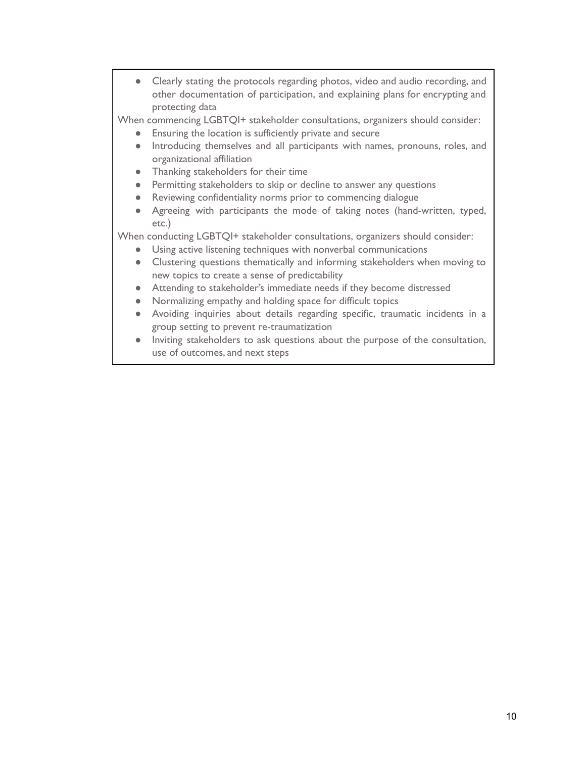● Clearly stating the protocols regarding photos, video and audio recording, and other documentation of participation, and explaining plans for encrypting and protecting data

When commencing LGBTQI+ stakeholder consultations, organizers should consider:

- Ensuring the location is sufficiently private and secure
- Introducing themselves and all participants with names, pronouns, roles, and organizational affiliation
- Thanking stakeholders for their time
- Permitting stakeholders to skip or decline to answer any questions
- Reviewing confidentiality norms prior to commencing dialogue
- Agreeing with participants the mode of taking notes (hand-written, typed, etc.)

When conducting LGBTQI+ stakeholder consultations, organizers should consider:

- Using active listening techniques with nonverbal communications
- new topics to create a sense of predictability ● Clustering questions thematically and informing stakeholders when moving to
- Attending to stakeholder's immediate needs if they become distressed
- Normalizing empathy and holding space for difficult topics
- group setting to prevent re-traumatization ● Avoiding inquiries about details regarding specific, traumatic incidents in a
- use of outcomes, and next steps ● Inviting stakeholders to ask questions about the purpose of the consultation,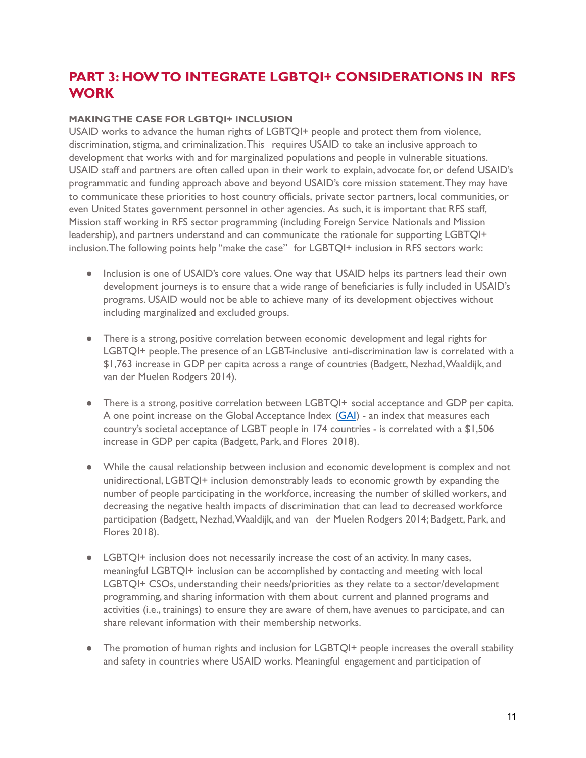# **PART 3: HOWTO INTEGRATE LGBTQI+ CONSIDERATIONS IN RFS WORK**

### **MAKINGTHE CASE FOR LGBTQI+ INCLUSION**

 USAID works to advance the human rights of LGBTQI+ people and protect them from violence, discrimination, stigma, and criminalization.This requires USAID to take an inclusive approach to development that works with and for marginalized populations and people in vulnerable situations. USAID staff and partners are often called upon in their work to explain, advocate for, or defend USAID's programmatic and funding approach above and beyond USAID's core mission statement.They may have to communicate these priorities to host country officials, private sector partners, local communities, or even United States government personnel in other agencies. As such, it is important that RFS staff, Mission staff working in RFS sector programming (including Foreign Service Nationals and Mission leadership), and partners understand and can communicate the rationale for supporting LGBTQI+ inclusion.The following points help "make the case" for LGBTQI+ inclusion in RFS sectors work:

- ● Inclusion is one of USAID's core values. One way that USAID helps its partners lead their own development journeys is to ensure that a wide range of beneficiaries is fully included in USAID's programs. USAID would not be able to achieve many of its development objectives without including marginalized and excluded groups.
- ● There is a strong, positive correlation between economic development and legal rights for LGBTQI+ people.The presence of an LGBT-inclusive anti-discrimination law is correlated with a \$1,763 increase in GDP per capita across a range of countries (Badgett, Nezhad,Waaldijk, and van der Muelen Rodgers 2014).
- ● There is a strong, positive correlation between LGBTQI+ social acceptance and GDP per capita. A one point increase on the Global Acceptance Index (<u>GAI</u>) - an index that measures each country's societal acceptance of LGBT people in 174 countries - is correlated with a \$1,506 increase in GDP per capita (Badgett, Park, and Flores 2018).
- ● While the causal relationship between inclusion and economic development is complex and not unidirectional, LGBTQI+ inclusion demonstrably leads to economic growth by expanding the number of people participating in the workforce, increasing the number of skilled workers, and decreasing the negative health impacts of discrimination that can lead to decreased workforce participation (Badgett, Nezhad,Waaldijk, and van der Muelen Rodgers 2014; Badgett, Park, and Flores 2018).
- ● LGBTQI+ inclusion does not necessarily increase the cost of an activity. In many cases, meaningful LGBTQI+ inclusion can be accomplished by contacting and meeting with local LGBTQI+ CSOs, understanding their needs/priorities as they relate to a sector/development programming, and sharing information with them about current and planned programs and activities (i.e., trainings) to ensure they are aware of them, have avenues to participate, and can share relevant information with their membership networks.
- ● The promotion of human rights and inclusion for LGBTQI+ people increases the overall stability and safety in countries where USAID works. Meaningful engagement and participation of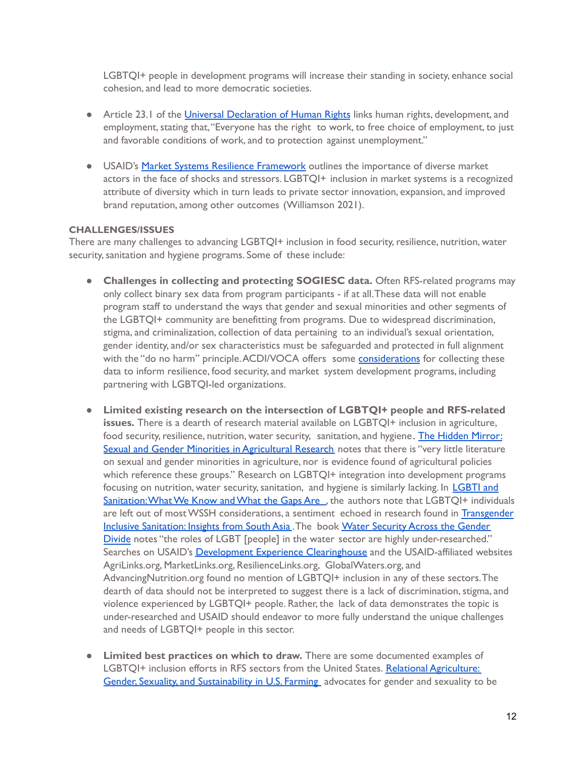LGBTQI+ people in development programs will increase their standing in society, enhance social cohesion, and lead to more democratic societies.

- **•** Article 23.1 of the *Universal [Declaration](https://www.un.org/en/about-us/universal-declaration-of-human-rights) of Human Rights* links human rights, development, and employment, stating that,"Everyone has the right to work, to free choice of employment, to just and favorable conditions of work, and to protection against unemployment."
- **•** USAID's Market Systems Resilience [Framework](https://www.usaid.gov/sites/default/files/documents/1866/Market-Systems-Resilience-Measurement-Framework-Report-Final_public-August-2019.pdf) outlines the importance of diverse market actors in the face of shocks and stressors. LGBTQI+ inclusion in market systems is a recognized attribute of diversity which in turn leads to private sector innovation, expansion, and improved brand reputation, among other outcomes (Williamson 2021).

#### **CHALLENGES/ISSUES**

 There are many challenges to advancing LGBTQI+ inclusion in food security,resilience, nutrition, water security, sanitation and hygiene programs. Some of these include:

- **Challenges in collecting and protecting SOGIESC data.** Often RFS-related programs may only collect binary sex data from program participants - if at all.These data will not enable program staff to understand the ways that gender and sexual minorities and other segments of the LGBTQI+ community are benefitting from programs. Due to widespread discrimination, stigma, and criminalization, collection of data pertaining to an individual's sexual orientation, gender identity, and/or sex characteristics must be safeguarded and protected in full alignment with the "do no harm" principle.ACDI/VOCA offers some <u>[considerations](http://www.acdivoca.org/2021/06/pride-month-qa-experts-discuss-challenges-and-opportunities-for-collecting-lgbtq-data/)</u> for collecting these data to inform resilience, food security, and market system development programs, including partnering with LGBTQI-led organizations.
- **Limited existing research on the intersection of LGBTQI+ people and RFS-related issues.** There is a dearth of research material available on LGBTQI+ inclusion in agriculture, food security, resilience, nutrition, water security, sanitation, and hygiene<code>. <u>The Hidden [Mirror:](https://pages.devex.com/rs/685-KBL-765/images/The-Hidden-Mirror_Sexual-and-Gender-Minority-in-Agricultural-Research.pdf)</mark></u></code> <mark>Sexual and Gender Minorities in [Agricultural](https://pages.devex.com/rs/685-KBL-765/images/The-Hidden-Mirror_Sexual-and-Gender-Minority-in-Agricultural-Research.pdf) Research</mark> notes that there is ''very little literature on sexual and gender minorities in agriculture, nor is evidence found of agricultural policies which reference these groups." Research on LGBTQI+ integration into development programs focusing on nutrition, water security, sanitation, and hygiene is similarly lacking. In <code><u>[LGBTI](https://wedc-knowledge.lboro.ac.uk/resources/conference/40/Benjamin-2649.pdf)</code> and</code></u> <mark>Sanitation:What We Know and What the Gaps Are\_,</mark> the authors note that LGBTQI+ individuals are left out of most WSSH considerations, a sentiment echoed in research found in <mark>[Transgender](https://www.communityledtotalsanitation.org/resources/transgender-inclusive-sanitation-insights-south-asia)</mark> Inclusive [Sanitation](https://www.communityledtotalsanitation.org/resources/transgender-inclusive-sanitation-insights-south-asia): Insights from South Asia . The book Water [Security](https://books.google.com.au/books?id=CM44DwAAQBAJ&pg=PA191&lpg=PA191&dq=LGBTI+water+access&source=bl&ots=5RR4QngQIH&sig=ACfU3U3Ermz7TKW5GG2LCHY6HjcvQyaI_w&hl=en&sa=X&ved=2ahUKEwj6_KDzzLTpAhWJA3IKHeudBsIQ6AEwBnoECB4QAQ#v=onepage&q=LGBTI%20water%20access&f=false) Across the Gender [Divide](https://books.google.com.au/books?id=CM44DwAAQBAJ&pg=PA191&lpg=PA191&dq=LGBTI+water+access&source=bl&ots=5RR4QngQIH&sig=ACfU3U3Ermz7TKW5GG2LCHY6HjcvQyaI_w&hl=en&sa=X&ved=2ahUKEwj6_KDzzLTpAhWJA3IKHeudBsIQ6AEwBnoECB4QAQ#v=onepage&q=LGBTI%20water%20access&f=false) notes "the roles of LGBT [people] in the water sector are highly under-researched." Searches on USAID's <u>Development Experience [Clearinghouse](http://dec.usaid.gov)</u> and the USAID-affiliated websites [AdvancingNutrition.org](https://AdvancingNutrition.org) found no mention of LGBTQI+ inclusion in any of these sectors.The dearth of data should not be interpreted to suggest there is a lack of discrimination, stigma, and violence experienced by LGBTQI+ people. Rather, the lack of data demonstrates the topic is under-researched and USAID should endeavor to more fully understand the unique challenges and needs of LGBTQI+ people in this sector. [AgriLinks.org](https://AgriLinks.org), [MarketLinks.org](https://MarketLinks.org), [ResilienceLinks.org](https://ResilienceLinks.org), [GlobalWaters.org,](https://GlobalWaters.org) and
- **Limited best practices on which to draw.** There are some documented examples of LGBTQI+ inclusion efforts in RFS sectors from the United States. <u>Relational [Agriculture:](https://www.tandfonline.com/doi/full/10.1080/08941920.2019.1610626)</u> Gender, Sexuality, and [Sustainability](https://www.tandfonline.com/doi/full/10.1080/08941920.2019.1610626) in U.S. Farming advocates for gender and sexuality to be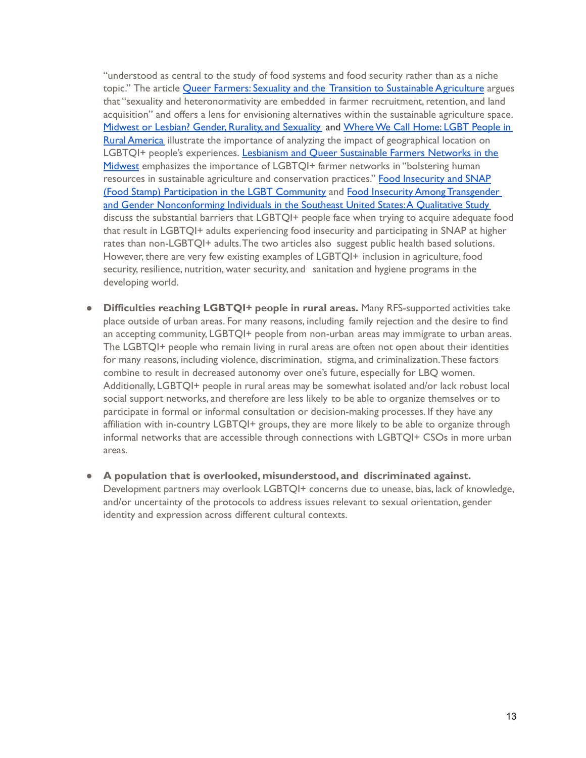"understood as central to the study of food systems and food security rather than as a niche topic." The article <u>Queer Farmers: Sexuality and the Transition to [Sustainable Agriculture](https://onlinelibrary.wiley.com/doi/abs/10.1111/ruso.12153)</u> argues that "sexuality and heteronormativity are embedded in farmer recruitment, retention, and land acquisition" and offers a lens for envisioning alternatives within the sustainable agriculture space. <u>Midwest or Lesbian? Gender, Rurality, and [Sexuality](https://journals.sagepub.com/doi/abs/10.1177/0891243212458361)</u> and <u>Where We Call Home: LGBT People in</u> <mark>Rural [America](https://www.lgbtmap.org/file/lgbt-rural-report.pdf)</mark> illustrate the importance of analyzing the impact of geographical location on LGBTQI+ people's experiences. <u>Lesbianism and Queer [Sustainable](https://www.tandfonline.com/doi/abs/10.1080/08941920.2019.1584834) Farmers Networks in the</u> [Midwest](https://www.tandfonline.com/doi/abs/10.1080/08941920.2019.1584834) emphasizes the importance of LGBTQI+ farmer networks in "bolstering human resources in sustainable agriculture and conservation practices." <mark>Food [Insecurity](https://williamsinstitute.law.ucla.edu/publications/lgbt-food-insecurity-snap/) and SNAP</mark> (Food Stamp) [Participation](https://williamsinstitute.law.ucla.edu/publications/lgbt-food-insecurity-snap/) in the LGBT Community and Food Insecurity Among [Transgender](https://www.ncbi.nlm.nih.gov/pmc/articles/PMC6484349/) and Gender [Nonconforming](https://www.ncbi.nlm.nih.gov/pmc/articles/PMC6484349/) Individuals in the Southeast United States:A Qualitative Study discuss the substantial barriers that LGBTQI+ people face when trying to acquire adequate food that result in LGBTQI+ adults experiencing food insecurity and participating in SNAP at higher rates than non-LGBTQI+ adults.The two articles also suggest public health based solutions. However, there are very few existing examples of LGBTQI+ inclusion in agriculture, food security, resilience, nutrition, water security, and sanitation and hygiene programs in the developing world.

- **Difficulties reaching LGBTQI+ people in rural areas.** Many RFS-supported activities take place outside of urban areas. For many reasons, including family rejection and the desire to find an accepting community, LGBTQI+ people from non-urban areas may immigrate to urban areas. The LGBTQI+ people who remain living in rural areas are often not open about their identities for many reasons, including violence, discrimination, stigma, and criminalization.These factors combine to result in decreased autonomy over one's future, especially for LBQ women. Additionally, LGBTQI+ people in rural areas may be somewhat isolated and/or lack robust local social support networks, and therefore are less likely to be able to organize themselves or to participate in formal or informal consultation or decision-making processes. If they have any affiliation with in-country LGBTQI+ groups, they are more likely to be able to organize through informal networks that are accessible through connections with LGBTQI+ CSOs in more urban areas.
- **A population that is overlooked, misunderstood, and discriminated against.** Development partners may overlook LGBTQI+ concerns due to unease, bias, lack of knowledge, and/or uncertainty of the protocols to address issues relevant to sexual orientation, gender identity and expression across different cultural contexts.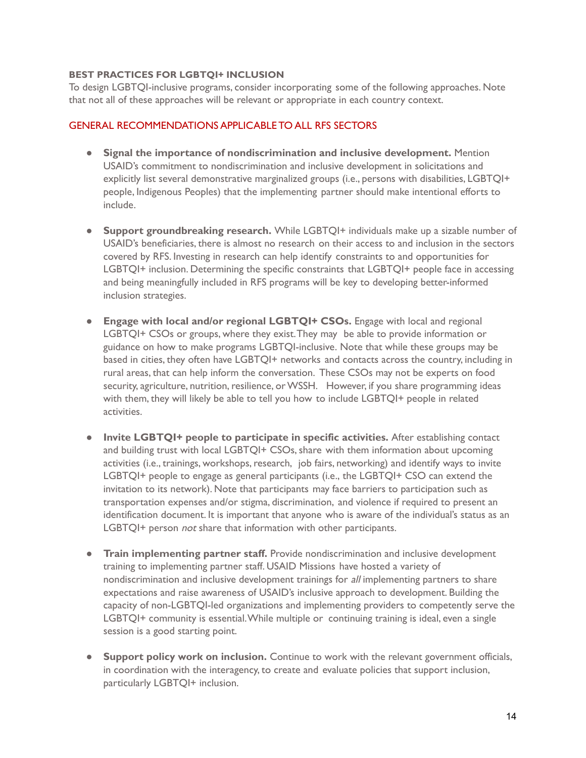#### **BEST PRACTICES FOR LGBTQI+ INCLUSION**

 To design LGBTQI-inclusive programs, consider incorporating some of the following approaches. Note that not all of these approaches will be relevant or appropriate in each country context.

# GENERAL RECOMMENDATIONS APPLICABLE TO ALL RFS SECTORS

- **Signal the importance of nondiscrimination and inclusive development.** Mention USAID's commitment to nondiscrimination and inclusive development in solicitations and explicitly list several demonstrative marginalized groups (i.e., persons with disabilities, LGBTQI+ people, Indigenous Peoples) that the implementing partner should make intentional efforts to include.
- ● **Support groundbreaking research.** While LGBTQI+ individuals make up a sizable number of USAID's beneficiaries, there is almost no research on their access to and inclusion in the sectors covered by RFS. Investing in research can help identify constraints to and opportunities for LGBTQI+ inclusion. Determining the specific constraints that LGBTQI+ people face in accessing and being meaningfully included in RFS programs will be key to developing better-informed inclusion strategies.
- **● Engage with local and/or regional LGBTQI+ CSOs.** Engage with local and regional LGBTQI+ CSOs or groups, where they exist.They may be able to provide information or guidance on how to make programs LGBTQI-inclusive. Note that while these groups may be based in cities, they often have LGBTQI+ networks and contacts across the country, including in rural areas, that can help inform the conversation. These CSOs may not be experts on food security, agriculture, nutrition, resilience, or WSSH. However, if you share programming ideas with them, they will likely be able to tell you how to include LGBTQI+ people in related activities.
- **Invite LGBTQI+ people to participate in specific activities.** After establishing contact and building trust with local LGBTQI+ CSOs, share with them information about upcoming activities (i.e., trainings, workshops, research, job fairs, networking) and identify ways to invite LGBTQI+ people to engage as general participants (i.e., the LGBTQI+ CSO can extend the invitation to its network). Note that participants may face barriers to participation such as transportation expenses and/or stigma, discrimination, and violence if required to present an identification document. It is important that anyone who is aware of the individual's status as an LGBTQI+ person *not* share that information with other participants.
- **Train implementing partner staff.** Provide nondiscrimination and inclusive development training to implementing partner staff. USAID Missions have hosted a variety of nondiscrimination and inclusive development trainings for all implementing partners to share expectations and raise awareness of USAID's inclusive approach to development. Building the capacity of non-LGBTQI-led organizations and implementing providers to competently serve the LGBTQI+ community is essential.While multiple or continuing training is ideal, even a single session is a good starting point.
- **● Support policy work on inclusion.** Continue to work with the relevant government officials, in coordination with the interagency, to create and evaluate policies that support inclusion, particularly LGBTQI+ inclusion.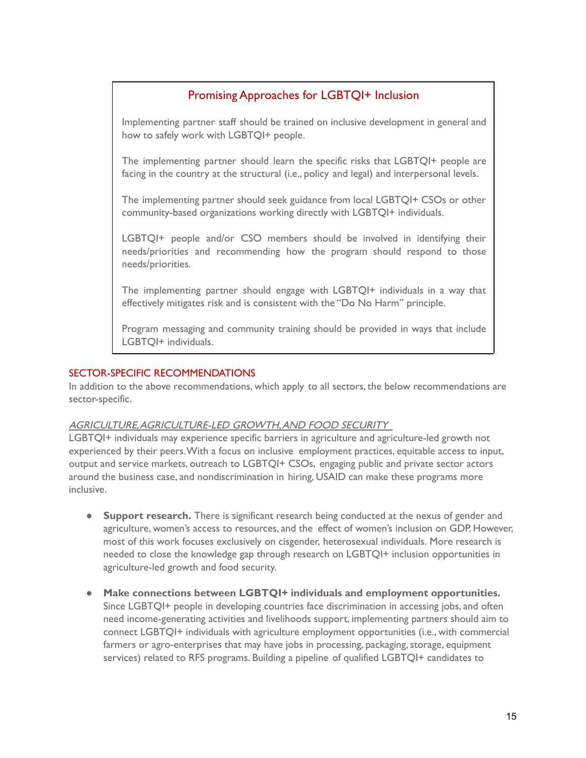# Promising Approaches for LGBTQI+ Inclusion

 how to safely work with LGBTQI+ people. Implementing partner staff should be trained on inclusive development in general and

 facing in the country at the structural (i.e., policy and legal) and interpersonal levels. The implementing partner should learn the specific risks that LGBTQI+ people are

 community-based organizations working directly with LGBTQI+ individuals. The implementing partner should seek guidance from local LGBTQI+ CSOs or other

LGBTQI+ people and/or CSO members should be involved in identifying their needs/priorities and recommending how the program should respond to those needs/priorities.

 effectively mitigates risk and is consistent with the "Do No Harm" principle. The implementing partner should engage with LGBTQI+ individuals in a way that

Program messaging and community training should be provided in ways that include LGBTQI+ individuals.

# SECTOR-SPECIFIC RECOMMENDATIONS

 In addition to the above recommendations, which apply to all sectors, the below recommendations are sector-specific.

# AGRICULTURE,AGRICULTURE-LED GROWTH,AND FOOD SECURITY

 LGBTQI+ individuals may experience specific barriers in agriculture and agriculture-led growth not experienced by their peers.With a focus on inclusive employment practices, equitable access to input, output and service markets, outreach to LGBTQI+ CSOs, engaging public and private sector actors around the business case, and nondiscrimination in hiring, USAID can make these programs more inclusive.

- ● **Support research.** There is significant research being conducted at the nexus of gender and agriculture, women's access to resources, and the effect of women's inclusion on GDP. However, most of this work focuses exclusively on cisgender, heterosexual individuals. More research is needed to close the knowledge gap through research on LGBTQI+ inclusion opportunities in agriculture-led growth and food security.
- **Make connections between LGBTQI+ individuals and employment opportunities.** Since LGBTQI+ people in developing countries face discrimination in accessing jobs, and often need income-generating activities and livelihoods support, implementing partners should aim to connect LGBTQI+ individuals with agriculture employment opportunities (i.e., with commercial farmers or agro-enterprises that may have jobs in processing, packaging, storage, equipment services) related to RFS programs. Building a pipeline of qualified LGBTQI+ candidates to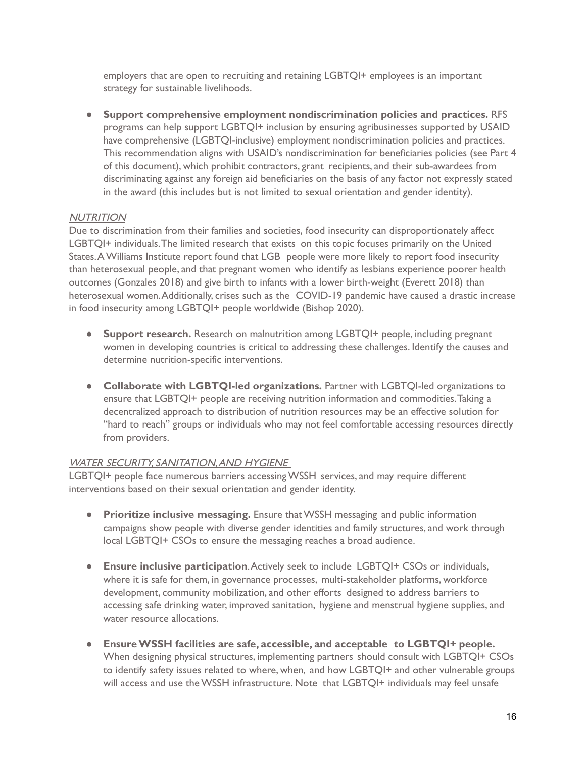employers that are open to recruiting and retaining LGBTQI+ employees is an important strategy for sustainable livelihoods.

 ● **Support comprehensive employment nondiscrimination policies and practices.** RFS programs can help support LGBTQI+ inclusion by ensuring agribusinesses supported by USAID have comprehensive (LGBTQI-inclusive) employment nondiscrimination policies and practices. This recommendation aligns with USAID's nondiscrimination for beneficiaries policies (see Part 4 of this document), which prohibit contractors, grant recipients, and their sub-awardees from discriminating against any foreign aid beneficiaries on the basis of any factor not expressly stated in the award (this includes but is not limited to sexual orientation and gender identity).

# **NUTRITION**

 Due to discrimination from their families and societies, food insecurity can disproportionately affect LGBTQI+ individuals.The limited research that exists on this topic focuses primarily on the United States.A Williams Institute report found that LGB people were more likely to report food insecurity than heterosexual people, and that pregnant women who identify as lesbians experience poorer health outcomes (Gonzales 2018) and give birth to infants with a lower birth-weight (Everett 2018) than heterosexual women.Additionally, crises such as the COVID-19 pandemic have caused a drastic increase in food insecurity among LGBTQI+ people worldwide (Bishop 2020).

- ● **Support research.** Research on malnutrition among LGBTQI+ people, including pregnant women in developing countries is critical to addressing these challenges. Identify the causes and determine nutrition-specific interventions.
- **Collaborate with LGBTQI-led organizations.** Partner with LGBTQI-led organizations to ensure that LGBTQI+ people are receiving nutrition information and commodities.Taking a decentralized approach to distribution of nutrition resources may be an effective solution for "hard to reach" groups or individuals who may not feel comfortable accessing resources directly from providers.

# WATER SECURITY, SANITATION,AND HYGIENE

 LGBTQI+ people face numerous barriers accessingWSSH services, and may require different interventions based on their sexual orientation and gender identity.

- **Prioritize inclusive messaging.** Ensure thatWSSH messaging and public information campaigns show people with diverse gender identities and family structures, and work through local LGBTQI+ CSOs to ensure the messaging reaches a broad audience.
- **Ensure inclusive participation**.Actively seek to include LGBTQI+ CSOs or individuals, where it is safe for them, in governance processes, multi-stakeholder platforms, workforce development, community mobilization, and other efforts designed to address barriers to accessing safe drinking water, improved sanitation, hygiene and menstrual hygiene supplies, and water resource allocations.
- **EnsureWSSH facilities are safe, accessible, and acceptable to LGBTQI+ people.** When designing physical structures, implementing partners should consult with LGBTQI+ CSOs to identify safety issues related to where, when, and how LGBTQI+ and other vulnerable groups will access and use theWSSH infrastructure. Note that LGBTQI+ individuals may feel unsafe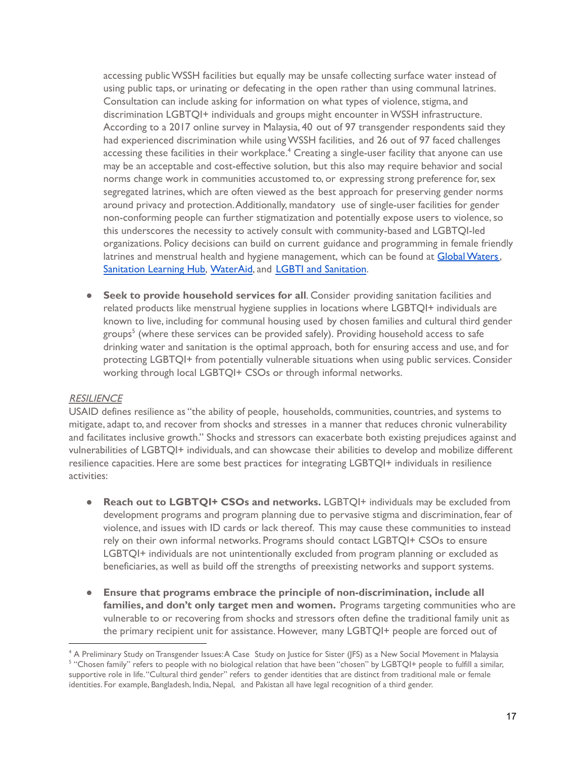accessing publicWSSH facilities but equally may be unsafe collecting surface water instead of using public taps, or urinating or defecating in the open rather than using communal latrines. Consultation can include asking for information on what types of violence, stigma, and discrimination LGBTQI+ individuals and groups might encounter inWSSH infrastructure. According to a 2017 online survey in Malaysia, 40 out of 97 transgender respondents said they had experienced discrimination while usingWSSH facilities, and 26 out of 97 faced challenges accessing these facilities in their workplace. $\rm ^4$  Creating a single-user facility that anyone can use may be an acceptable and cost-effective solution, but this also may require behavior and social norms change work in communities accustomed to, or expressing strong preference for,sex segregated latrines, which are often viewed as the best approach for preserving gender norms around privacy and protection.Additionally, mandatory use of single-user facilities for gender non-conforming people can further stigmatization and potentially expose users to violence, so this underscores the necessity to actively consult with community-based and LGBTQI-led organizations. Policy decisions can build on current guidance and programming in female friendly latrines and menstrual health and hygiene management, which can be found at <mark>[Global Waters](https://www.globalwaters.org/resources/assets/usaid-water-and-development-technical-series-gender-equality-and-female),</mark> [Sanitation](https://sanitationlearninghub.org/theme/transgender-and-intersex-inclusive-sanitation/) Learning Hub, [WaterAid](https://washmatters.wateraid.org/publications/female-friendly-public-and-community-toilets-a-guide-for-planners-and-decision-makers), and LGBTI and [Sanitation](https://repository.lboro.ac.uk/articles/LGBTI_and_sanitation_what_we_know_and_what_the_gaps_are/9589271).

 ● **Seek to provide household services for all**. Consider providing sanitation facilities and related products like menstrual hygiene supplies in locations where LGBTQI+ individuals are known to live, including for communal housing used by chosen families and cultural third gender groups<sup>5</sup> (where these services can be provided safely). Providing household access to safe drinking water and sanitation is the optimal approach, both for ensuring access and use, and for protecting LGBTQI+ from potentially vulnerable situations when using public services. Consider working through local LGBTQI+ CSOs or through informal networks.

#### **RESILIENCE**

 USAID defines resilience as "the ability of people, households, communities, countries, and systems to mitigate, adapt to, and recover from shocks and stresses in a manner that reduces chronic vulnerability and facilitates inclusive growth." Shocks and stressors can exacerbate both existing prejudices against and vulnerabilities of LGBTQI+ individuals, and can showcase their abilities to develop and mobilize different resilience capacities. Here are some best practices for integrating LGBTQI+ individuals in resilience activities:

- **Reach out to LGBTQI+ CSOs and networks.** LGBTQI+ individuals may be excluded from development programs and program planning due to pervasive stigma and discrimination, fear of violence, and issues with ID cards or lack thereof. This may cause these communities to instead rely on their own informal networks. Programs should contact LGBTQI+ CSOs to ensure LGBTQI+ individuals are not unintentionally excluded from program planning or excluded as beneficiaries, as well as build off the strengths of preexisting networks and support systems.
- **Ensure that programs embrace the principle of non-discrimination, include all families, and don't only target men and women.** Programs targeting communities who are vulnerable to or recovering from shocks and stressors often define the traditional family unit as the primary recipient unit for assistance. However, many LGBTQI+ people are forced out of

<sup>4</sup> A Preliminary Study on Transgender Issues:A Case Study on Justice for Sister (JFS) as a New Social Movement in Malaysia <sup>5</sup> "Chosen family" refers to people with no biological relation that have been "chosen" by LGBTQI+ people to fulfill a similar, supportive role in life."Cultural third gender" refers to gender identities that are distinct from traditional male or female identities. For example, Bangladesh, India, Nepal, and Pakistan all have legal recognition of a third gender.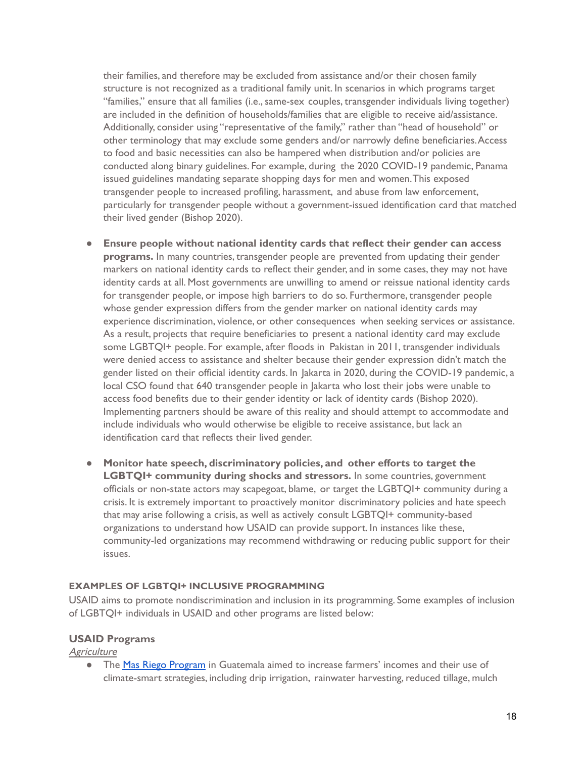their families, and therefore may be excluded from assistance and/or their chosen family structure is not recognized as a traditional family unit. In scenarios in which programs target "families," ensure that all families (i.e.,same-sex couples, transgender individuals living together) are included in the definition of households/families that are eligible to receive aid/assistance. Additionally, consider using "representative of the family," rather than "head of household" or other terminology that may exclude some genders and/or narrowly define beneficiaries.Access to food and basic necessities can also be hampered when distribution and/or policies are conducted along binary guidelines. For example, during the 2020 COVID-19 pandemic, Panama issued guidelines mandating separate shopping days for men and women.This exposed transgender people to increased profiling, harassment, and abuse from law enforcement, particularly for transgender people without a government-issued identification card that matched their lived gender (Bishop 2020).

- **● Ensure people without national identity cards that reflect their gender can access programs.** In many countries, transgender people are prevented from updating their gender markers on national identity cards to reflect their gender, and in some cases, they may not have identity cards at all. Most governments are unwilling to amend or reissue national identity cards for transgender people, or impose high barriers to do so. Furthermore, transgender people whose gender expression differs from the gender marker on national identity cards may experience discrimination, violence, or other consequences when seeking services or assistance. As a result, projects that require beneficiaries to present a national identity card may exclude some LGBTQI+ people. For example, after floods in Pakistan in 2011, transgender individuals were denied access to assistance and shelter because their gender expression didn't match the gender listed on their official identity cards. In Jakarta in 2020, during the COVID-19 pandemic, a local CSO found that 640 transgender people in Jakarta who lost their jobs were unable to access food benefits due to their gender identity or lack of identity cards (Bishop 2020). Implementing partners should be aware of this reality and should attempt to accommodate and include individuals who would otherwise be eligible to receive assistance, but lack an identification card that reflects their lived gender.
- **Monitor hate speech, discriminatory policies, and other efforts to target the LGBTQI+ community during shocks and stressors.** In some countries, government officials or non-state actors may scapegoat, blame, or target the LGBTQI+ community during a crisis. It is extremely important to proactively monitor discriminatory policies and hate speech that may arise following a crisis, as well as actively consult LGBTQI+ community-based organizations to understand how USAID can provide support. In instances like these, community-led organizations may recommend withdrawing or reducing public support for their issues.

#### **EXAMPLES OF LGBTQI+ INCLUSIVE PROGRAMMING**

 USAID aims to promote nondiscrimination and inclusion in its programming. Some examples of inclusion of LGBTQI+ individuals in USAID and other programs are listed below:

#### **USAID Programs**

**Agriculture** 

**•** The Mas Riego [Program](https://horticulture.ucdavis.edu/blog/masriego-project-starts-guatemala) in Guatemala aimed to increase farmers' incomes and their use of climate-smart strategies, including drip irrigation, rainwater harvesting, reduced tillage, mulch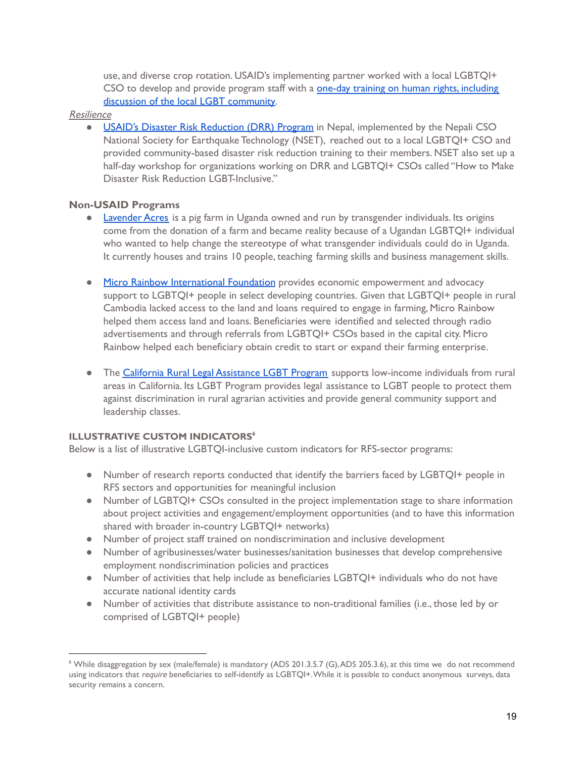use, and diverse crop rotation. USAID's implementing partner worked with a local LGBTQI+ CSO to develop and provide program staff with a **one-day training on human rights, [including](https://horticulture.ucdavis.edu/blog/events-launch-irrigation-project-guatemala)** discussion of the local LGBT [community.](https://horticulture.ucdavis.edu/blog/events-launch-irrigation-project-guatemala)

#### Resilience

**• USAID's Disaster Risk [Reduction](https://globalequality.wordpress.com/2012/04/27/u-s-embassy-and-blue-diamond-society-partner-to-make-disaster-risk-reduction-lgbti-inclusive/) (DRR) Program** in Nepal, implemented by the Nepali CSO National Society for Earthquake Technology (NSET), reached out to a local LGBTQI+ CSO and provided community-based disaster risk reduction training to their members. NSET also set up a half-day workshop for organizations working on DRR and LGBTQI+ CSOs called "How to Make Disaster Risk Reduction LGBT-Inclusive."

# **Non-USAID Programs**

- **[Lavender](https://rustinfund.org/2018/04/14/lavender-acres/) Acres** is a pig farm in Uganda owned and run by transgender individuals. Its origins come from the donation of a farm and became reality because of a Ugandan LGBTQI+ individual who wanted to help change the stereotype of what transgender individuals could do in Uganda. It currently houses and trains 10 people, teaching farming skills and business management skills.
- **Micro Rainbow [International](https://mrifoundation.global/lgbti-economic-empowerment-rural-cambodia/) Foundation** provides economic empowerment and advocacy support to LGBTQI+ people in select developing countries. Given that LGBTQI+ people in rural Cambodia lacked access to the land and loans required to engage in farming, Micro Rainbow helped them access land and loans. Beneficiaries were identified and selected through radio advertisements and through referrals from LGBTQI+ CSOs based in the capital city. Micro Rainbow helped each beneficiary obtain credit to start or expand their farming enterprise.
- **•** The **California Rural Legal [Assistance](https://www.crla.org/lgbt-program) LGBT Program** supports low-income individuals from rural areas in California. Its LGBT Program provides legal assistance to LGBT people to protect them against discrimination in rural agrarian activities and provide general community support and leadership classes.

#### **ILLUSTRATIVE CUSTOM INDICATORS<sup>6</sup>**

Below is a list of illustrative LGBTQI-inclusive custom indicators for RFS-sector programs:

- ● Number of research reports conducted that identify the barriers faced by LGBTQI+ people in RFS sectors and opportunities for meaningful inclusion
- ● Number of LGBTQI+ CSOs consulted in the project implementation stage to share information about project activities and engagement/employment opportunities (and to have this information shared with broader in-country LGBTQI+ networks)
- Number of project staff trained on nondiscrimination and inclusive development
- ● Number of agribusinesses/water businesses/sanitation businesses that develop comprehensive employment nondiscrimination policies and practices
- ● Number of activities that help include as beneficiaries LGBTQI+ individuals who do not have accurate national identity cards
- ● Number of activities that distribute assistance to non-traditional families (i.e., those led by or comprised of LGBTQI+ people)

<sup>&</sup>lt;sup>6</sup> While disaggregation by sex (male/female) is mandatory (ADS 201.3.5.7 (G),ADS 205.3.6), at this time we do not recommend using indicators that require beneficiaries to self-identify as LGBTQI+.While it is possible to conduct anonymous surveys, data security remains a concern.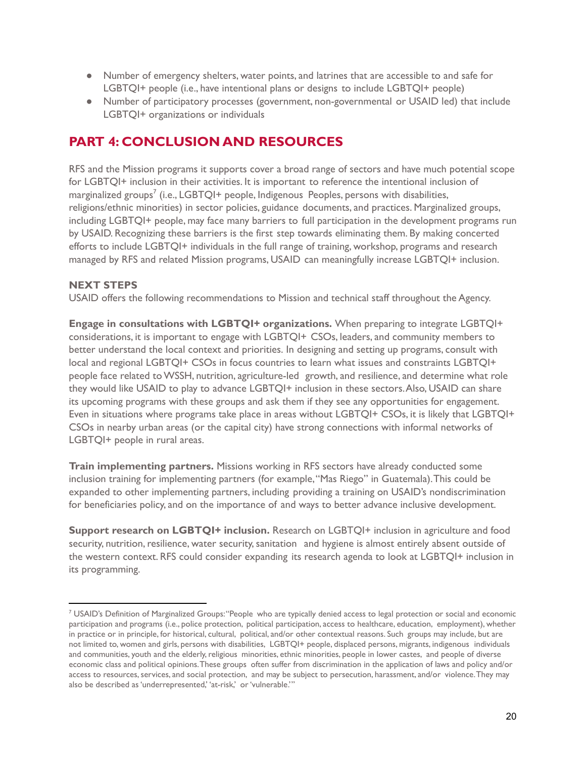- ● Number of emergency shelters, water points, and latrines that are accessible to and safe for LGBTQI+ people (i.e., have intentional plans or designs to include LGBTQI+ people)
- ● Number of participatory processes (government, non-governmental or USAID led) that include LGBTQI+ organizations or individuals

# **PART 4: CONCLUSION AND RESOURCES**

 RFS and the Mission programs it supports cover a broad range of sectors and have much potential scope for LGBTQI+ inclusion in their activities. It is important to reference the intentional inclusion of marginalized groups $^7$  (i.e., LGBTQI+ people, Indigenous Peoples, persons with disabilities, religions/ethnic minorities) in sector policies, guidance documents, and practices. Marginalized groups, including LGBTQI+ people, may face many barriers to full participation in the development programs run by USAID. Recognizing these barriers is the first step towards eliminating them. By making concerted efforts to include LGBTQI+ individuals in the full range of training, workshop, programs and research managed by RFS and related Mission programs, USAID can meaningfully increase LGBTQI+ inclusion.

# **NEXT STEPS**

USAID offers the following recommendations to Mission and technical staff throughout the Agency.

 **Engage in consultations with LGBTQI+ organizations.** When preparing to integrate LGBTQI+ considerations, it is important to engage with LGBTQI+ CSOs, leaders, and community members to better understand the local context and priorities. In designing and setting up programs, consult with local and regional LGBTQI+ CSOs in focus countries to learn what issues and constraints LGBTQI+ people face related toWSSH, nutrition, agriculture-led growth, and resilience, and determine what role they would like USAID to play to advance LGBTQI+ inclusion in these sectors.Also, USAID can share its upcoming programs with these groups and ask them if they see any opportunities for engagement. Even in situations where programs take place in areas without LGBTQI+ CSOs, it is likely that LGBTQI+ CSOs in nearby urban areas (or the capital city) have strong connections with informal networks of LGBTQI+ people in rural areas.

 **Train implementing partners.** Missions working in RFS sectors have already conducted some inclusion training for implementing partners (for example,"Mas Riego" in Guatemala).This could be expanded to other implementing partners, including providing a training on USAID's nondiscrimination for beneficiaries policy, and on the importance of and ways to better advance inclusive development.

 **Support research on LGBTQI+ inclusion.** Research on LGBTQI+ inclusion in agriculture and food security, nutrition, resilience, water security, sanitation and hygiene is almost entirely absent outside of the western context. RFS could consider expanding its research agenda to look at LGBTQI+ inclusion in its programming.

<sup>7</sup> USAID's Definition of Marginalized Groups:"People who are typically denied access to legal protection or social and economic participation and programs (i.e., police protection, political participation, access to healthcare, education, employment), whether in practice or in principle, for historical, cultural, political, and/or other contextual reasons. Such groups may include, but are not limited to, women and girls, persons with disabilities, LGBTQI+ people, displaced persons, migrants, indigenous individuals and communities, youth and the elderly, religious minorities, ethnic minorities, people in lower castes, and people of diverse economic class and political opinions.These groups often suffer from discrimination in the application of laws and policy and/or access to resources, services, and social protection, and may be subject to persecution, harassment, and/or violence.They may also be described as 'underrepresented,' 'at-risk,' or 'vulnerable.'"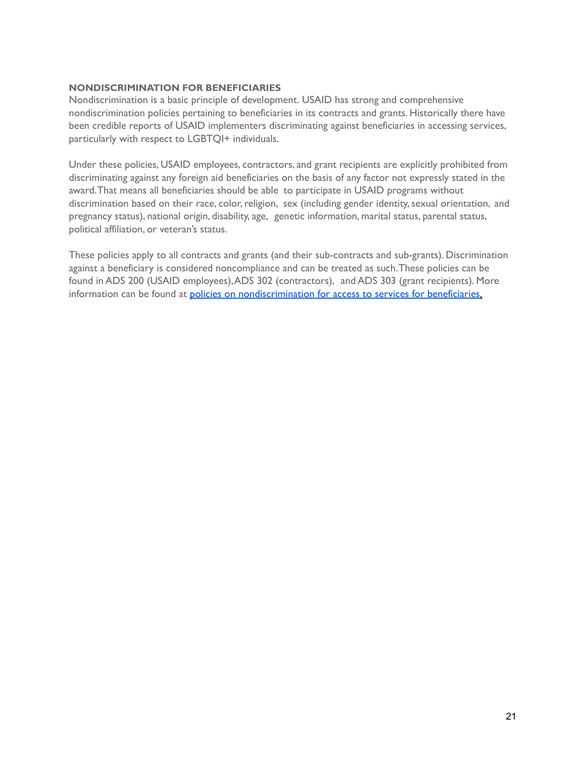#### **NONDISCRIMINATION FOR BENEFICIARIES**

 Nondiscrimination is a basic principle of development. USAID has strong and comprehensive nondiscrimination policies pertaining to beneficiaries in its contracts and grants. Historically there have been credible reports of USAID implementers discriminating against beneficiaries in accessing services, particularly with respect to LGBTQI+ individuals.

 Under these policies, USAID employees, contractors, and grant recipients are explicitly prohibited from discriminating against any foreign aid beneficiaries on the basis of any factor not expressly stated in the award.That means all beneficiaries should be able to participate in USAID programs without discrimination based on their race, color, religion, sex (including gender identity, sexual orientation, and pregnancy status), national origin, disability, age, genetic information, marital status, parental status, political affiliation, or veteran's status.

 These policies apply to all contracts and grants (and their sub-contracts and sub-grants). Discrimination against a beneficiary is considered noncompliance and can be treated as such.These policies can be found in ADS 200 (USAID employees),ADS 302 (contractors), and ADS 303 (grant recipients). More information can be found at *policies on [nondiscrimination](https://www.usaid.gov/inclusivedevelopment/nondiscrimination-faq) for access to services for beneficiaries*.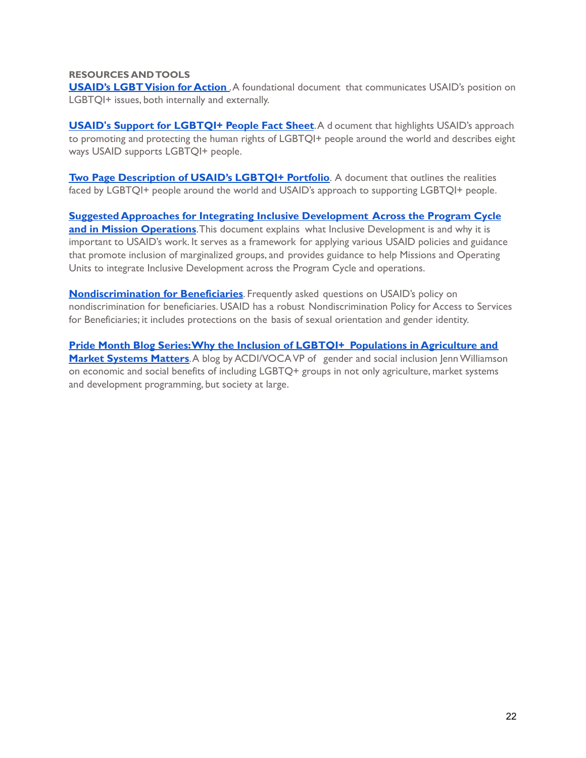#### **RESOURCES ANDTOOLS**

 **USAID's [LGBTVision](https://www.usaid.gov/sites/default/files/documents/1874/LGBT_Vision.pdf) for Action** .A foundational document that communicates USAID's position on LGBTQI+ issues, both internally and externally.

 **USAID's Support for [LGBTQI+](https://www.usaid.gov/documents/fact-sheet-usaid-support-lgbtqi-people) People Fact Sheet**.A d ocument that highlights USAID's approach to promoting and protecting the human rights of LGBTQI+ people around the world and describes eight ways USAID supports LGBTQI+ people.

 **Two Page [Description](https://www.usaid.gov/documents/inclusive-development-lgbtqi-inclusion) of USAID's LGBTQI+ Portfolio**. A document that outlines the realities faced by LGBTQI+ people around the world and USAID's approach to supporting LGBTQI+ people.

 **Suggested Approaches for Integrating Inclusive [Development](https://usaidlearninglab.org/sites/default/files/resource/files/additional_help_for_ads_201_inclusive_development_180726_final_r.pdf) Across the Program Cycle and in Mission [Operations](https://usaidlearninglab.org/sites/default/files/resource/files/additional_help_for_ads_201_inclusive_development_180726_final_r.pdf)**.This document explains what Inclusive Development is and why it is important to USAID's work. It serves as a framework for applying various USAID policies and guidance that promote inclusion of marginalized groups, and provides guidance to help Missions and Operating Units to integrate Inclusive Development across the Program Cycle and operations.

 **[Nondiscrimination](https://www.usaid.gov/inclusivedevelopment/nondiscrimination-faq) for Beneficiaries**. Frequently asked questions on USAID's policy on nondiscrimination for beneficiaries. USAID has a robust Nondiscrimination Policy for Access to Services for Beneficiaries; it includes protections on the basis of sexual orientation and gender identity.

 **Pride Month Blog Series:Why the Inclusion of LGBTQI+ [Populations](https://www.acdivoca.org/2021/06/pride-month-blog-series-why-the-inclusion-of-lgbtq-populations-in-agriculture-and-market-systems-matters-part-1/) in Agriculture and Market [Systems](https://www.acdivoca.org/2021/06/pride-month-blog-series-why-the-inclusion-of-lgbtq-populations-in-agriculture-and-market-systems-matters-part-1/) Matters**.A blog by ACDI/VOCAVP of gender and social inclusion JennWilliamson on economic and social benefits of including LGBTQ+ groups in not only agriculture, market systems and development programming, but society at large.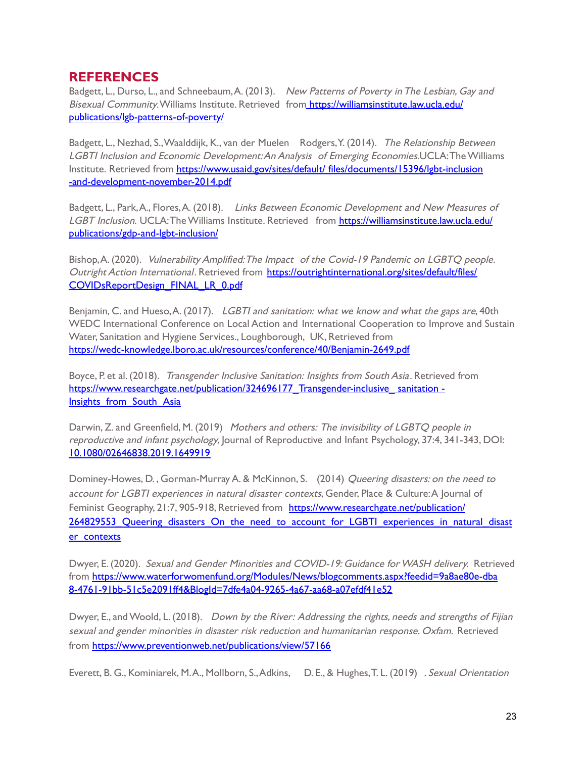# **REFERENCES**

Badgett, L., Durso, L., and Schneebaum, A. (2013). New Patterns of Poverty in The Lesbian, Gay and *Bisexual Community*.Williams Institute. Retrieved from<u>\_<https://williamsinstitute.law.ucla.edu/></u> publications/lgb-patterns-of-poverty/

Badgett, L., Nezhad, S., Waalddijk, K., van der Muelen Rodgers, Y. (2014). *The Relationship Between*  LGBTI Inclusion and Economic Development:An Analysis of Emerging Economies.UCLA:The Williams Institute. Retrieved from https://www.usaid.gov/sites/default/ [files/documents/15396/lgbt-inclusion](https://www.usaid.gov/sites/default/files/documents/15396/lgbt-inclusion-and-development-november-2014.pdf) [-and-development-november-2014.pdf](https://www.usaid.gov/sites/default/files/documents/15396/lgbt-inclusion-and-development-november-2014.pdf)

Badgett, L., Park, A., Flores, A. (2018). Links Between Economic Development and New Measures of L*GBT Inclusion.* UCLA:The Williams Institute. Retrieved from <u>[https://williamsinstitute.law.ucla.edu/](https://williamsinstitute.law.ucla.edu/publications/gdp-and-lgbt-inclusion/)</u> [publications/gdp-and-lgbt-inclusion/](https://williamsinstitute.law.ucla.edu/publications/gdp-and-lgbt-inclusion/)

Bishop, A. (2020). *Vulnerability Amplified: The Impact of the Covid-19 Pandemic on LGBTQ people.* Outright Action International. Retrieved from [https://outrightinternational.org/sites/default/files/](https://outrightinternational.org/sites/default/files/COVIDsReportDesign_FINAL_LR_0.pdf) [COVIDsReportDesign\\_FINAL\\_LR\\_0.pdf](https://outrightinternational.org/sites/default/files/COVIDsReportDesign_FINAL_LR_0.pdf)

Benjamin, C. and Hueso, A. (2017). *LGBTI and sanitation: what we know and what the gaps are*, 40th WEDC International Conference on Local Action and International Cooperation to Improve and Sustain Water, Sanitation and Hygiene Services., Loughborough, UK, Retrieved from <https://wedc-knowledge.lboro.ac.uk/resources/conference/40/Benjamin-2649.pdf>

Boyce, P. et al. (2018). *Transgender Inclusive Sanitation: Insights from South Asia*. Retrieved from [https://www.researchgate.net/publication/324696177\\_Transgender-inclusive\\_](https://www.researchgate.net/publication/324696177_Transgender-inclusive_%20sanitation%20-%20Insights_from_South_Asia)sanitation -Insights from South Asia

Darwin, Z. and Greenfield, M. (2019) Mothers and others: The invisibility of LGBTQ people in reproductive and infant psychology, Journal of Reproductive and Infant Psychology, 37:4, 341-343, DOI: [10.1080/02646838.2019.1649919](https://doi.org/10.1080/02646838.2019.1649919)

Dominey-Howes, D., Gorman-Murray A. & McKinnon, S. (2014) *Queering disasters: on the need to* account for LGBTI experiences in natural disaster contexts, Gender, Place & Culture: A Journal of Feminist Geography, 21:7, 905-918, Retrieved from [https://www.researchgate.net/publication/](https://www.researchgate.net/publication/264829553_Queering_disasters_On_the_need_to_account_for_LGBTI_experiences_in_natural_disaster_contexts) 264829553 Queering disasters On the need to account for LGBTI experiences in natural disast [er\\_contexts](https://www.researchgate.net/publication/264829553_Queering_disasters_On_the_need_to_account_for_LGBTI_experiences_in_natural_disaster_contexts)

Dwyer, E. (2020). Sexual and Gender Minorities and COVID-19: Guidance for WASH delivery. Retrieved from [https://www.waterforwomenfund.org/Modules/News/blogcomments.aspx?feedid=9a8ae80e-dba](https://www.waterforwomenfund.org/Modules/News/blogcomments.aspx?feedid=9a8ae80e-dba8-4761-91bb-51c5e2091ff4&BlogId=7dfe4a04-9265-4a67-aa68-a07efdf41e52) [8-4761-91bb-51c5e2091ff4&BlogId=7dfe4a04-9265-4a67-aa68-a07efdf41e52](https://www.waterforwomenfund.org/Modules/News/blogcomments.aspx?feedid=9a8ae80e-dba8-4761-91bb-51c5e2091ff4&BlogId=7dfe4a04-9265-4a67-aa68-a07efdf41e52)

Dwyer, E., and Woold, L. (2018). Down by the River: Addressing the rights, needs and strengths of Fijian sexual and gender minorities in disaster risk reduction and humanitarian response. Oxfam. Retrieved from <https://www.preventionweb.net/publications/view/57166>

Everett, B. G., Kominiarek, M.A., Mollborn, S., Adkins, D. E., & Hughes, T. L. (2019) *. Sexual Orientation*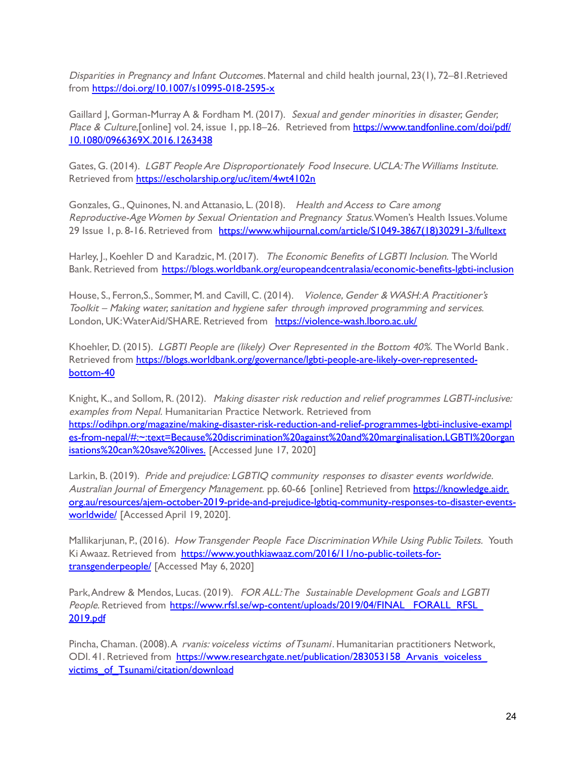Disparities in Pregnancy and Infant Outcomes. Maternal and child health journal, 23(1), 72–81.Retrieved from <https://doi.org/10.1007/s10995-018-2595-x>

Gaillard J, Gorman-Murray A & Fordham M. (2017). Sexual and gender minorities in disaster, Gender, *Place & Culture,*[online] vol. 24, issue 1, pp.18–26. Retrieved from <u>[https://www.tandfonline.com/doi/pdf/](https://www.tandfonline.com/doi/pdf/10.1080/0966369X.2016.1263438)</u> [10.1080/0966369X.2016.1263438](https://www.tandfonline.com/doi/pdf/10.1080/0966369X.2016.1263438)

Gates, G. (2014). LGBT People Are Disproportionately Food Insecure. UCLA: The Williams Institute. Retrieved from <https://escholarship.org/uc/item/4wt4102n>

Gonzales, G., Quinones, N. and Attanasio, L. (2018). Health and Access to Care among Reproductive-Age Women by Sexual Orientation and Pregnancy Status.Women's Health Issues.Volume 29 Issue 1, p. 8-16. Retrieved from <u>[https://www.whijournal.com/article/S1049-3867\(18\)30291-3/fulltext](https://www.whijournal.com/article/S1049-3867(18)30291-3/fulltext)</u>

Harley, J., Koehler D and Karadzic, M. (2017). *The Economic Benefits of LGBTI Inclusion.* The World Bank. Retrieved from <https://blogs.worldbank.org/europeandcentralasia/economic-benefits-lgbti-inclusion>

House, S., Ferron,S., Sommer, M. and Cavill, C. (2014). *Violence, Gender & WASH:A Practitioner's* Toolkit - Making water, sanitation and hygiene safer through improved programming and services. London, UK:WaterAid/SHARE. Retrieved from <https://violence-wash.lboro.ac.uk/>

Khoehler, D. (2015). *LGBTI People are (likely) Over Represented in the Bottom 40%.* The World Bank . Retrieved from [https://blogs.worldbank.org/governance/lgbti-people-are-likely-over-represented](https://blogs.worldbank.org/governance/lgbti-people-are-likely-over-represented-bottom-40)[bottom-40](https://blogs.worldbank.org/governance/lgbti-people-are-likely-over-represented-bottom-40)

Knight, K., and Sollom, R. (2012). *Making disaster risk reduction and relief programmes LGBTI-inclusive:* examples from Nepal. Humanitarian Practice Network. Retrieved from [isations%20can%20save%20lives.](https://odihpn.org/magazine/making-disaster-risk-reduction-and-relief-programmes-lgbti-inclusive-examples-from-nepal/#:~:text=Because%20discrimination%20against%20and%20marginalisation,LGBTI%20organisations%20can%20save%20lives.) [Accessed June 17, 2020] [https://odihpn.org/magazine/making-disaster-risk-reduction-and-relief-programmes-lgbti-inclusive-exampl](https://odihpn.org/magazine/making-disaster-risk-reduction-and-relief-programmes-lgbti-inclusive-examples-from-nepal/#:~:text=Because%20discrimination%20against%20and%20marginalisation,LGBTI%20organisations%20can%20save%20lives.) [es-from-nepal/#:~:text=Because%20discrimination%20against%20and%20marginalisation,LGBTI%20organ](https://odihpn.org/magazine/making-disaster-risk-reduction-and-relief-programmes-lgbti-inclusive-examples-from-nepal/#:~:text=Because%20discrimination%20against%20and%20marginalisation,LGBTI%20organisations%20can%20save%20lives.)

Larkin, B. (2019). Pride and prejudice: LGBTIQ community responses to disaster events worldwide. A*ustralian Journal of Emergency Management.* pp. 60-66 [online] Retrieved from <u>[https://knowledge.aidr.](https://knowledge.aidr.org.au/resources/ajem-october-2019-pride-and-prejudice-lgbtiq-community-responses-to-disaster-events-worldwide/)</u> [worldwide/](https://knowledge.aidr.org.au/resources/ajem-october-2019-pride-and-prejudice-lgbtiq-community-responses-to-disaster-events-worldwide/) [Accessed April 19, 2020]. [org.au/resources/ajem-october-2019-pride-and-prejudice-lgbtiq-community-responses-to-disaster-events-](https://knowledge.aidr.org.au/resources/ajem-october-2019-pride-and-prejudice-lgbtiq-community-responses-to-disaster-events-worldwide/)

Mallikarjunan, P., (2016). *How Transgender People Face Discrimination While Using Public Toilets. Y*outh Ki Awaaz. Retrieved from <u><https://www.youthkiawaaz.com/2016/11/>no-public-toilets-for-</u> <mark>transgenderpeople/</mark> [Accessed May 6, 2020]

Park,Andrew & Mendos, Lucas. (2019). FOR ALL:The Sustainable Development Goals and LGBTI *People*. Retrieved from <u>[https://www.rfsl.se/wp-content/uploads/2019/04/FINAL\\_](https://www.rfsl.se/wp-content/uploads/2019/04/FINAL_FORALL_RFSL_2019.pdf)FORALL\_RFSL\_</u> [2019.pdf](https://www.rfsl.se/wp-content/uploads/2019/04/FINAL_FORALL_RFSL_2019.pdf)

Pincha, Chaman. (2008).A *rvanis: voiceless victims of Tsunami* . Humanitarian practitioners Network, ODI. 41. Retrieved from [https://www.researchgate.net/publication/283053158\\_Arvanis\\_voiceless\\_](https://www.researchgate.net/publication/283053158_Arvanis_voiceless_victims_of_Tsunami/citation/download) [victims\\_of\\_Tsunami/citation/download](https://www.researchgate.net/publication/283053158_Arvanis_voiceless_victims_of_Tsunami/citation/download)